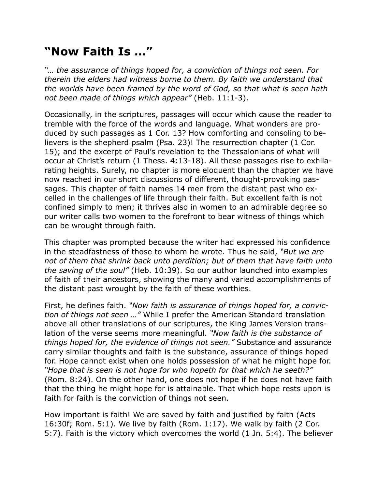## **"Now Faith Is …"**

*"… the assurance of things hoped for, a conviction of things not seen. For therein the elders had witness borne to them. By faith we understand that the worlds have been framed by the word of God, so that what is seen hath not been made of things which appear"* (Heb. 11:1-3).

Occasionally, in the scriptures, passages will occur which cause the reader to tremble with the force of the words and language. What wonders are produced by such passages as 1 Cor. 13? How comforting and consoling to believers is the shepherd psalm (Psa. 23)! The resurrection chapter (1 Cor. 15); and the excerpt of Paul's revelation to the Thessalonians of what will occur at Christ's return (1 Thess. 4:13-18). All these passages rise to exhilarating heights. Surely, no chapter is more eloquent than the chapter we have now reached in our short discussions of different, thought-provoking passages. This chapter of faith names 14 men from the distant past who excelled in the challenges of life through their faith. But excellent faith is not confined simply to men; it thrives also in women to an admirable degree so our writer calls two women to the forefront to bear witness of things which can be wrought through faith.

This chapter was prompted because the writer had expressed his confidence in the steadfastness of those to whom he wrote. Thus he said, *"But we are not of them that shrink back unto perdition; but of them that have faith unto the saving of the soul"* (Heb. 10:39). So our author launched into examples of faith of their ancestors, showing the many and varied accomplishments of the distant past wrought by the faith of these worthies.

First, he defines faith. *"Now faith is assurance of things hoped for, a conviction of things not seen …"* While I prefer the American Standard translation above all other translations of our scriptures, the King James Version translation of the verse seems more meaningful. *"Now faith is the substance of things hoped for, the evidence of things not seen."* Substance and assurance carry similar thoughts and faith is the substance, assurance of things hoped for. Hope cannot exist when one holds possession of what he might hope for. *"Hope that is seen is not hope for who hopeth for that which he seeth?"* (Rom. 8:24). On the other hand, one does not hope if he does not have faith that the thing he might hope for is attainable. That which hope rests upon is faith for faith is the conviction of things not seen.

How important is faith! We are saved by faith and justified by faith (Acts 16:30f; Rom. 5:1). We live by faith (Rom. 1:17). We walk by faith (2 Cor. 5:7). Faith is the victory which overcomes the world (1 Jn. 5:4). The believer